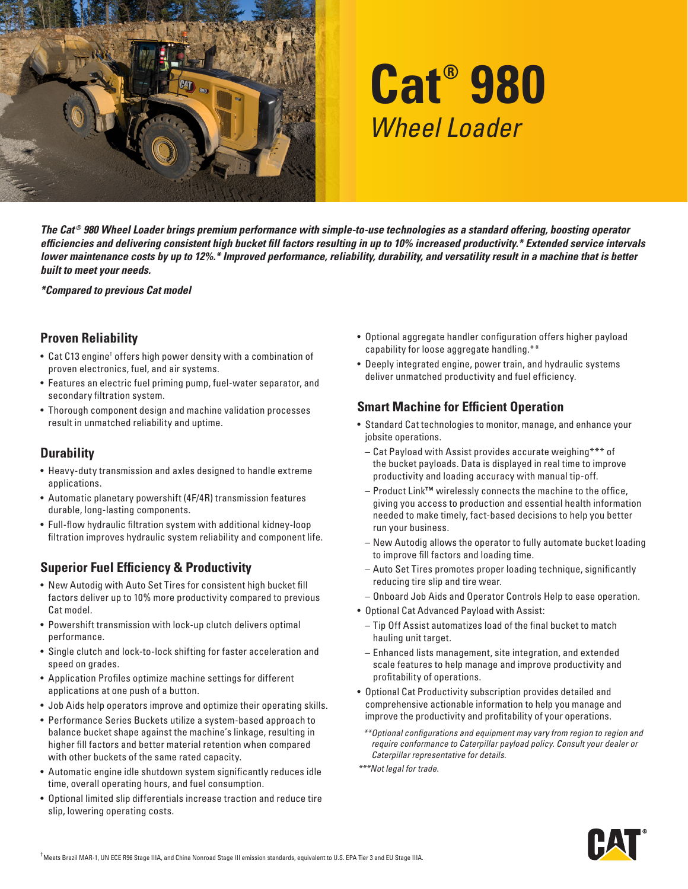

# **Cat® 980** *Wheel Loader*

*The Cat ® 980 Wheel Loader brings premium performance with simple-to-use technologies as a standard offering, boosting operator efficiencies and delivering consistent high bucket fill factors resulting in up to 10% increased productivity.\* Extended service intervals lower maintenance costs by up to 12%.\* Improved performance, reliability, durability, and versatility result in a machine that is better built to meet your needs.*

*\*Compared to previous Cat model*

#### **Proven Reliability**

- $\bullet\,$  Cat C13 engine† offers high power density with a combination of proven electronics, fuel, and air systems.
- Features an electric fuel priming pump, fuel-water separator, and secondary filtration system.
- Thorough component design and machine validation processes result in unmatched reliability and uptime.

### **Durability**

- Heavy-duty transmission and axles designed to handle extreme applications.
- Automatic planetary powershift (4F/4R) transmission features durable, long-lasting components.
- Full-flow hydraulic filtration system with additional kidney-loop filtration improves hydraulic system reliability and component life.

### **Superior Fuel Efficiency & Productivity**

- New Autodig with Auto Set Tires for consistent high bucket fill factors deliver up to 10% more productivity compared to previous Cat model.
- Powershift transmission with lock-up clutch delivers optimal performance.
- Single clutch and lock-to-lock shifting for faster acceleration and speed on grades.
- Application Profiles optimize machine settings for different applications at one push of a button.
- Job Aids help operators improve and optimize their operating skills.
- Performance Series Buckets utilize a system-based approach to balance bucket shape against the machine's linkage, resulting in higher fill factors and better material retention when compared with other buckets of the same rated capacity.
- Automatic engine idle shutdown system significantly reduces idle time, overall operating hours, and fuel consumption.
- Optional limited slip differentials increase traction and reduce tire slip, lowering operating costs.
- Optional aggregate handler configuration offers higher payload capability for loose aggregate handling.\*\*
- Deeply integrated engine, power train, and hydraulic systems deliver unmatched productivity and fuel efficiency.

#### **Smart Machine for Efficient Operation**

- Standard Cat technologies to monitor, manage, and enhance your jobsite operations.
	- Cat Payload with Assist provides accurate weighing\*\*\* of the bucket payloads. Data is displayed in real time to improve productivity and loading accuracy with manual tip-off.
	- Product Link**™** wirelessly connects the machine to the office, giving you access to production and essential health information needed to make timely, fact-based decisions to help you better run your business.
	- New Autodig allows the operator to fully automate bucket loading to improve fill factors and loading time.
	- Auto Set Tires promotes proper loading technique, significantly reducing tire slip and tire wear.
	- Onboard Job Aids and Operator Controls Help to ease operation.
- Optional Cat Advanced Payload with Assist:
	- Tip Off Assist automatizes load of the final bucket to match hauling unit target.
	- Enhanced lists management, site integration, and extended scale features to help manage and improve productivity and profitability of operations.
- Optional Cat Productivity subscription provides detailed and comprehensive actionable information to help you manage and improve the productivity and profitability of your operations.
- *\*\*Optional configurations and equipment may vary from region to region and require conformance to Caterpillar payload policy. Consult your dealer or Caterpillar representative for details.*

*\*\*\*Not legal for trade.*

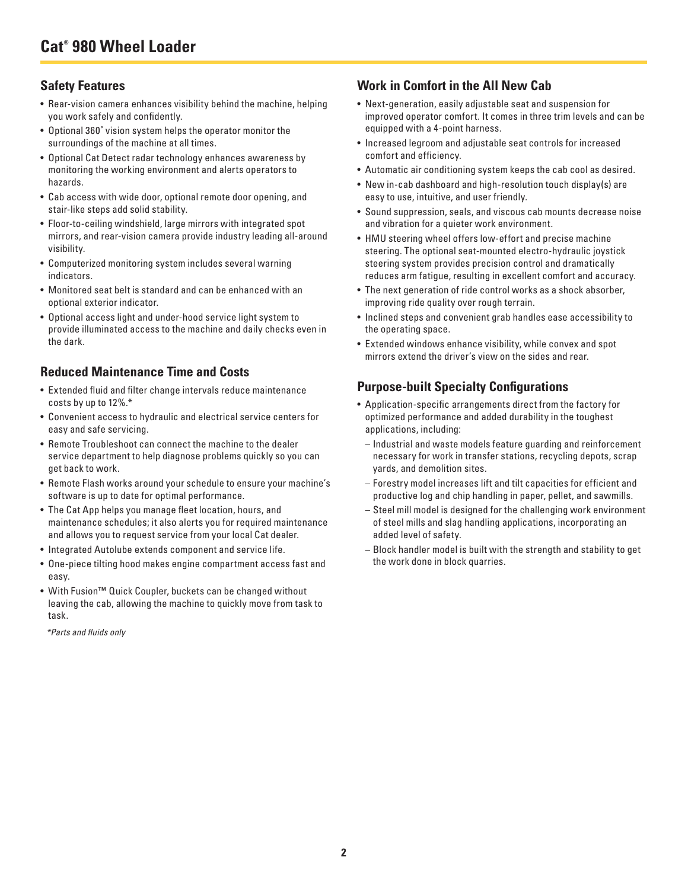#### **Safety Features**

- Rear-vision camera enhances visibility behind the machine, helping you work safely and confidently.
- Optional 360˚ vision system helps the operator monitor the surroundings of the machine at all times.
- Optional Cat Detect radar technology enhances awareness by monitoring the working environment and alerts operators to hazards.
- Cab access with wide door, optional remote door opening, and stair-like steps add solid stability.
- Floor-to-ceiling windshield, large mirrors with integrated spot mirrors, and rear-vision camera provide industry leading all-around visibility.
- Computerized monitoring system includes several warning indicators.
- Monitored seat belt is standard and can be enhanced with an optional exterior indicator.
- Optional access light and under-hood service light system to provide illuminated access to the machine and daily checks even in the dark.

#### **Reduced Maintenance Time and Costs**

- Extended fluid and filter change intervals reduce maintenance costs by up to 12%.\*
- Convenient access to hydraulic and electrical service centers for easy and safe servicing.
- Remote Troubleshoot can connect the machine to the dealer service department to help diagnose problems quickly so you can get back to work.
- Remote Flash works around your schedule to ensure your machine's software is up to date for optimal performance.
- The Cat App helps you manage fleet location, hours, and maintenance schedules; it also alerts you for required maintenance and allows you to request service from your local Cat dealer.
- Integrated Autolube extends component and service life.
- One-piece tilting hood makes engine compartment access fast and easy.
- With Fusion**™** Quick Coupler, buckets can be changed without leaving the cab, allowing the machine to quickly move from task to task.

*\*Parts and fluids only*

#### **Work in Comfort in the All New Cab**

- Next-generation, easily adjustable seat and suspension for improved operator comfort. It comes in three trim levels and can be equipped with a 4-point harness.
- Increased legroom and adjustable seat controls for increased comfort and efficiency.
- Automatic air conditioning system keeps the cab cool as desired.
- New in-cab dashboard and high-resolution touch display(s) are easy to use, intuitive, and user friendly.
- Sound suppression, seals, and viscous cab mounts decrease noise and vibration for a quieter work environment.
- HMU steering wheel offers low-effort and precise machine steering. The optional seat-mounted electro-hydraulic joystick steering system provides precision control and dramatically reduces arm fatigue, resulting in excellent comfort and accuracy.
- The next generation of ride control works as a shock absorber, improving ride quality over rough terrain.
- Inclined steps and convenient grab handles ease accessibility to the operating space.
- Extended windows enhance visibility, while convex and spot mirrors extend the driver's view on the sides and rear.

#### **Purpose-built Specialty Configurations**

- Application-specific arrangements direct from the factory for optimized performance and added durability in the toughest applications, including:
	- Industrial and waste models feature guarding and reinforcement necessary for work in transfer stations, recycling depots, scrap yards, and demolition sites.
	- Forestry model increases lift and tilt capacities for efficient and productive log and chip handling in paper, pellet, and sawmills.
	- Steel mill model is designed for the challenging work environment of steel mills and slag handling applications, incorporating an added level of safety.
	- Block handler model is built with the strength and stability to get the work done in block quarries.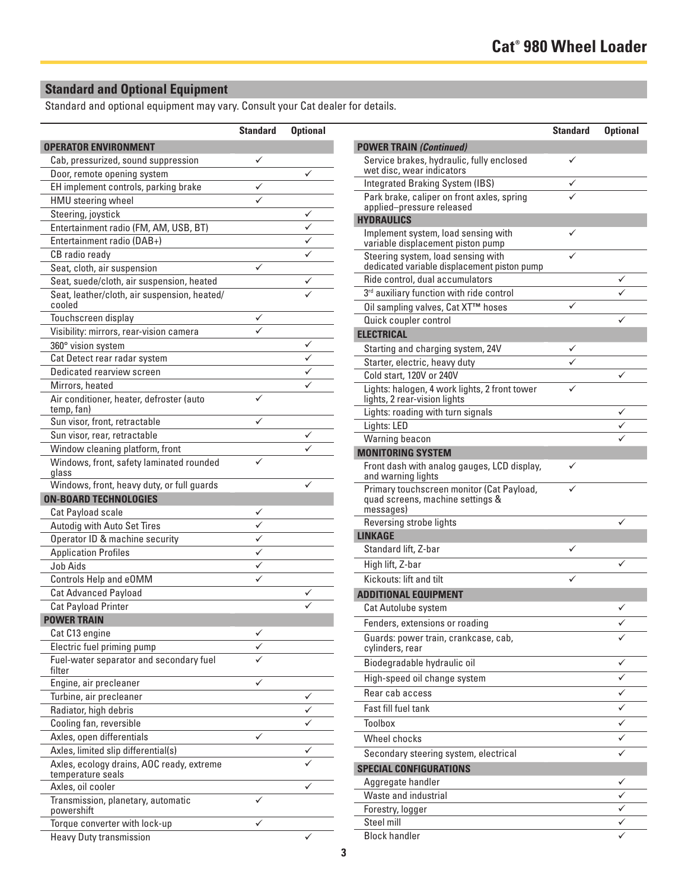## **Standard and Optional Equipment**

Standard and optional equipment may vary. Consult your Cat dealer for details.

|                                                                | <b>Standard</b> | <b>Optional</b> |
|----------------------------------------------------------------|-----------------|-----------------|
| <b>OPERATOR ENVIRONMENT</b>                                    |                 |                 |
| Cab, pressurized, sound suppression                            |                 |                 |
| Door, remote opening system                                    |                 | ✓               |
| EH implement controls, parking brake                           |                 |                 |
| HMU steering wheel                                             |                 |                 |
| Steering, joystick                                             |                 |                 |
| Entertainment radio (FM, AM, USB, BT)                          |                 |                 |
| Entertainment radio (DAB+)                                     |                 |                 |
| CB radio ready                                                 |                 |                 |
| Seat, cloth, air suspension                                    |                 |                 |
| Seat, suede/cloth, air suspension, heated                      |                 |                 |
| Seat, leather/cloth, air suspension, heated/<br>cooled         |                 |                 |
| Touchscreen display                                            | ✓               |                 |
| Visibility: mirrors, rear-vision camera                        |                 |                 |
| 360° vision system                                             |                 |                 |
| Cat Detect rear radar system                                   |                 |                 |
| Dedicated rearview screen                                      |                 |                 |
| Mirrors, heated                                                |                 |                 |
| Air conditioner, heater, defroster (auto<br>temp, fan)         | ✓               |                 |
| Sun visor, front, retractable                                  |                 |                 |
| Sun visor, rear, retractable                                   |                 |                 |
| Window cleaning platform, front                                |                 |                 |
| Windows, front, safety laminated rounded<br>glass              | ✓               |                 |
| Windows, front, heavy duty, or full guards                     |                 |                 |
| <b>ON-BOARD TECHNOLOGIES</b>                                   |                 |                 |
| Cat Payload scale                                              |                 |                 |
| Autodig with Auto Set Tires                                    |                 |                 |
| Operator ID & machine security                                 |                 |                 |
| <b>Application Profiles</b>                                    |                 |                 |
| Job Aids                                                       |                 |                 |
| Controls Help and eOMM                                         |                 |                 |
| <b>Cat Advanced Payload</b>                                    |                 |                 |
| <b>Cat Payload Printer</b>                                     |                 |                 |
| <b>POWER TRAIN</b>                                             |                 |                 |
| Cat C13 engine                                                 |                 |                 |
| Electric fuel priming pump                                     |                 |                 |
| Fuel-water separator and secondary fuel<br>filter              |                 |                 |
| Engine, air precleaner                                         |                 |                 |
| Turbine, air precleaner                                        |                 |                 |
| Radiator, high debris                                          |                 |                 |
| Cooling fan, reversible                                        |                 |                 |
| Axles, open differentials                                      | ✓               |                 |
| Axles, limited slip differential(s)                            |                 |                 |
| Axles, ecology drains, AOC ready, extreme<br>temperature seals |                 |                 |
| Axles, oil cooler                                              |                 |                 |
| Transmission, planetary, automatic<br>powershift               |                 |                 |
| Torque converter with lock-up                                  |                 |                 |
| <b>Heavy Duty transmission</b>                                 |                 |                 |

| <b>Standard</b> | <b>Optional</b> |                                                                               | <b>Standard</b> | <b>Optional</b> |
|-----------------|-----------------|-------------------------------------------------------------------------------|-----------------|-----------------|
|                 |                 | <b>POWER TRAIN (Continued)</b>                                                |                 |                 |
| ✓               |                 | Service brakes, hydraulic, fully enclosed                                     | ✓               |                 |
|                 | $\checkmark$    | wet disc, wear indicators                                                     |                 |                 |
|                 |                 | Integrated Braking System (IBS)                                               | ✓               |                 |
| ✓               |                 | Park brake, caliper on front axles, spring<br>applied-pressure released       |                 |                 |
|                 | ✓               | <b>HYDRAULICS</b>                                                             |                 |                 |
|                 | ✓               | Implement system, load sensing with                                           | ✓               |                 |
|                 | ✓               | variable displacement piston pump                                             |                 |                 |
|                 | ✓               | Steering system, load sensing with                                            |                 |                 |
| ✓               |                 | dedicated variable displacement piston pump                                   |                 |                 |
|                 | ✓               | Ride control, dual accumulators                                               |                 |                 |
|                 |                 | 3rd auxiliary function with ride control                                      |                 |                 |
| ✓               |                 | Oil sampling valves, Cat XT™ hoses                                            | ✓               |                 |
| ✓               |                 | Quick coupler control                                                         |                 |                 |
|                 | ✓               | <b>ELECTRICAL</b>                                                             |                 |                 |
|                 | ✓               | Starting and charging system, 24V                                             | ✓               |                 |
|                 |                 | Starter, electric, heavy duty                                                 |                 |                 |
|                 | ✓               | Cold start, 120V or 240V                                                      |                 | ✓               |
| ✓               |                 | Lights: halogen, 4 work lights, 2 front tower<br>lights, 2 rear-vision lights |                 |                 |
|                 |                 | Lights: roading with turn signals                                             |                 | ✓               |
| ✓               |                 | Lights: LED                                                                   |                 | ✓               |
|                 | ✓               | Warning beacon                                                                |                 |                 |
| ✓               |                 | <b>MONITORING SYSTEM</b>                                                      |                 |                 |
|                 |                 | Front dash with analog gauges, LCD display,<br>and warning lights             | ✓               |                 |
|                 | ✓               | Primary touchscreen monitor (Cat Payload,<br>quad screens, machine settings & | ✓               |                 |
| ✓               |                 | messages)                                                                     |                 |                 |
| ✓               |                 | Reversing strobe lights                                                       |                 |                 |
| ✓               |                 | <b>LINKAGE</b>                                                                |                 |                 |
| ✓               |                 | Standard lift, Z-bar                                                          |                 |                 |
| ✓               |                 | High lift, Z-bar                                                              |                 |                 |
| ✓               |                 | Kickouts: lift and tilt                                                       | ✓               |                 |
|                 | ✓               | <b>ADDITIONAL EQUIPMENT</b>                                                   |                 |                 |
|                 | ✓               | <b>Cat Autolube system</b>                                                    |                 | ✓               |
|                 |                 | Fenders, extensions or roading                                                |                 |                 |
| ✓               |                 | Guards: power train, crankcase, cab,<br>cylinders, rear                       |                 |                 |
|                 |                 | Biodegradable hydraulic oil                                                   |                 |                 |
|                 |                 | High-speed oil change system                                                  |                 |                 |
| ✓               |                 | Rear cab access                                                               |                 | ✓               |
|                 | ✓               | Fast fill fuel tank                                                           |                 |                 |
|                 | ✓               |                                                                               |                 | ✓               |
|                 | ✓               | Toolbox                                                                       |                 | ✓               |
| ✓               |                 | Wheel chocks                                                                  |                 | ✓               |
|                 |                 | Secondary steering system, electrical                                         |                 | ✓               |
|                 |                 | <b>SPECIAL CONFIGURATIONS</b>                                                 |                 |                 |
|                 | ✓               | Aggregate handler                                                             |                 |                 |
|                 |                 | Waste and industrial                                                          |                 |                 |
|                 |                 | Forestry, logger                                                              |                 | ✓               |
|                 |                 | Steel mill                                                                    |                 |                 |
|                 |                 | <b>Block handler</b>                                                          |                 |                 |